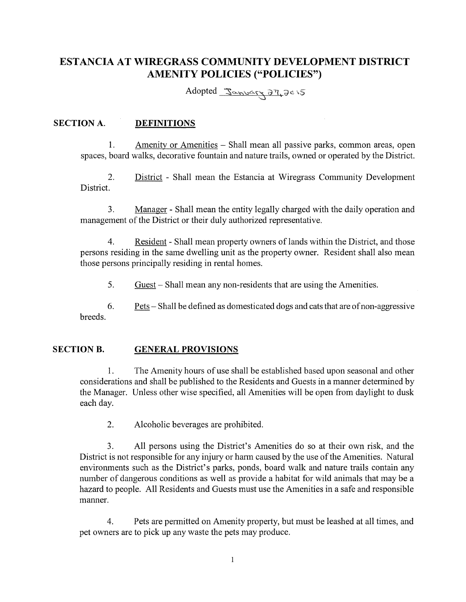# **ESTANCIA AT WIREGRASS COMMUNITY DEVELOPMENT DISTRICT AMENITY POLICIES ("POLICIES")**

Adopted January 27,2015

### **SECTION A. DEFINITIONS**

1. Amenity or Amenities - Shall mean all passive parks, common areas, open spaces, board walks, decorative fountain and nature trails, owned or operated by the District.

2. District - Shall mean the Estancia at Wiregrass Community Development District.

3. Manager- Shall mean the entity legally charged with the daily operation and management of the District or their duly authorized representative.

4. Resident - Shall mean property owners oflands within the District, and those persons residing in the same dwelling unit as the property owner. Resident shall also mean those persons principally residing in rental homes.

5. Guest – Shall mean any non-residents that are using the Amenities.

6. Pets- Shall be defined as domesticated dogs and cats that are of non-aggressive breeds.

### **SECTION B. GENERAL PROVISIONS**

1. The Amenity hours of use shall be established based upon seasonal and other considerations and shall be published to the Residents and Guests in a manner determined by the Manager. Unless other wise specified, all Amenities will be open from daylight to dusk each day.

2. Alcoholic beverages are prohibited.

3. All persons using the District's Amenities do so at their own risk, and the District is not responsible for any injury or harm caused by the use of the Amenities. Natural environments such as the District's parks, ponds, board walk and nature trails contain any number of dangerous conditions as well as provide a habitat for wild animals that may be a hazard to people. All Residents and Guests must use the Amenities in a safe and responsible manner.

4. Pets are permitted on Amenity property, but must be leashed at all times, and pet owners are to pick up any waste the pets may produce.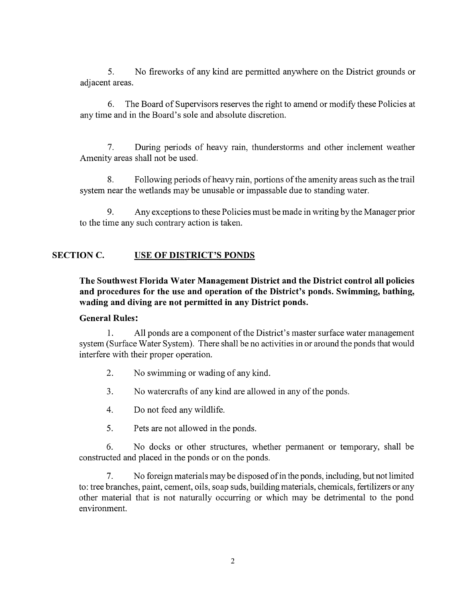5. No fireworks of any kind are permitted anywhere on the District grounds or adjacent areas.

6. The Board of Supervisors reserves the right to amend or modify these Policies at any time and in the Board's sole and absolute discretion.

7. During periods of heavy rain, thunderstorms and other inclement weather Amenity areas shall not be used.

8. Following periods ofheavyrain, portions of the amenity areas such as the trail system near the wetlands may be unusable or impassable due to standing water.

9. Any exceptions to these Policies must be made in writing by the Manager prior to the time any such contrary action is taken.

# **SECTION C. USE OF DISTRICT'S PONDS**

**The Southwest Florida Water Management District and the District control all policies and procedures for the use and operation of the District's ponds. Swimming, bathing, wading and diving are not permitted in any District ponds.** 

### **General Rules:**

1. All ponds are a component of the District's master surface water management system (Surface Water System). There shall be no activities in or around the ponds that would interfere with their proper operation.

- 2. No swimming or wading of any kind.
- 3. No watercrafts of any kind are allowed in any of the ponds.
- 4. Do not feed any wildlife.
- 5. Pets are not allowed in the ponds.

6. No docks or other structures, whether permanent or temporary, shall be constructed and placed in the ponds or on the ponds.

7. No foreign materials may be disposed of in the ponds, including, but not limited to: tree branches, paint, cement, oils, soap suds, building materials, chemicals, fertilizers or any other material that is not naturally occurring or which may be detrimental to the pond environment.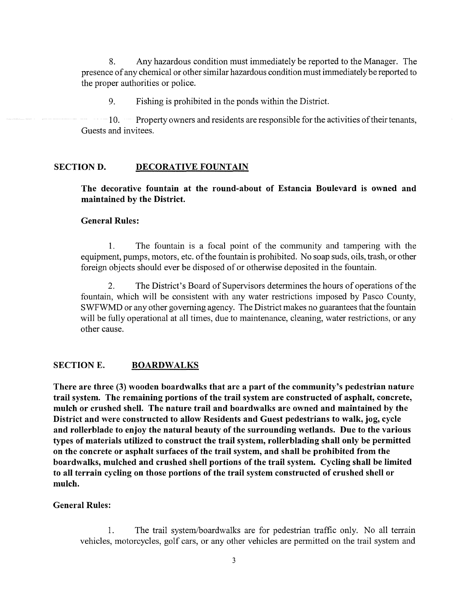8. Any hazardous condition must immediately be reported to the Manager. The presence of any chemical or other similar hazardous condition must immediately be reported to the proper authorities or police.

9. Fishing is prohibited in the ponds within the District.

10. Property owners and residents are responsible for the activities of their tenants, Guests and invitees.

### SECTION D. DECORATIVE FOUNTAIN

The decorative fountain at the round-about of Estancia Boulevard is owned and maintained by the District.

#### General Rules:

1. The fountain is a focal point of the community and tampering with the equipment, pumps, motors, etc. of the fountain is prohibited. No soap suds, oils, trash, or other foreign objects should ever be disposed of or otherwise deposited in the fountain.

2. The District's Board of Supervisors detennines the hours of operations of the fountain, which will be consistent with any water restrictions imposed by Pasco County, SWFWMD or any other governing agency. The District makes no guarantees that the fountain will be fully operational at all times, due to maintenance, cleaning, water restrictions, or any other cause.

### SECTION E. BOARDWALKS

There are three (3) wooden boardwalks that are a part of the community's pedestrian nature trail system. The remaining portions of the trail system are constructed of asphalt, concrete, mulch or crushed shell. The nature trail and boardwalks are owned and maintained by the District and were constructed to allow Residents and Guest pedestrians to walk, jog, cycle and rollerblade to enjoy the natural beauty of the surrounding wetlands. Due to the various types of materials utilized to construct the trail system, rollerblading shall only be permitted on the concrete or asphalt surfaces of the trail system, and shall be prohibited from the boardwalks, mulched and crushed shell portions of the trail system. Cycling shall be limited to all terrain cycling on those portions of the trail system constructed of crushed shell or mulch.

#### General Rules:

1. The trail system/boardwalks are for pedestrian traffic only. No all terrain vehicles, motorcycles, golf cars, or any other vehicles are permitted on the trail system and